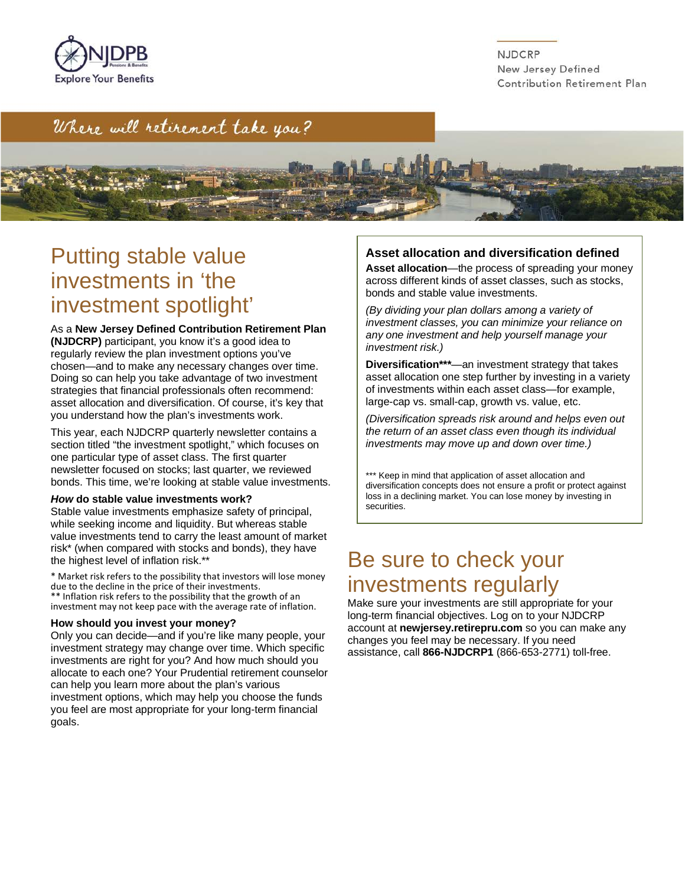

NJDCRP New Jersey Defined Contribution Retirement Plan

## where will retirement take you?



## Putting stable value investments in 'the investment spotlight'

 chosen—and to make any necessary changes over time. As a **New Jersey Defined Contribution Retirement Plan (NJDCRP)** participant, you know it's a good idea to regularly review the plan investment options you've Doing so can help you take advantage of two investment strategies that financial professionals often recommend: asset allocation and diversification. Of course, it's key that you understand how the plan's investments work.

This year, each NJDCRP quarterly newsletter contains a section titled "the investment spotlight," which focuses on one particular type of asset class. The first quarter newsletter focused on stocks; last quarter, we reviewed bonds. This time, we're looking at stable value investments.

#### *How* **do stable value investments work?**

 Stable value investments emphasize safety of principal, while seeking income and liquidity. But whereas stable value investments tend to carry the least amount of market risk\* (when compared with stocks and bonds), they have the highest level of inflation risk.\*\*

\* Market risk refers to the possibility that investors will lose money due to the decline in the price of their investments. \*\* Inflation risk refers to the possibility that the growth of an investment may not keep pace with the average rate of inflation.

#### **How should you invest your money?**

Only you can decide—and if you're like many people, your investment strategy may change over time. Which specific investments are right for you? And how much should you allocate to each one? Your Prudential retirement counselor can help you learn more about the plan's various investment options, which may help you choose the funds you feel are most appropriate for your long-term financial goals.

#### **Asset allocation and diversification defined**

 across different kinds of asset classes, such as stocks, **Asset allocation**—the process of spreading your money bonds and stable value investments.

 *(By dividing your plan dollars among a variety of investment classes, you can minimize your reliance on any one investment and help yourself manage your investment risk.)* 

**Diversification\*\*\***—an investment strategy that takes asset allocation one step further by investing in a variety of investments within each asset class—for example, large-cap vs. small-cap, growth vs. value, etc.

 *the return of an asset class even though its individual (Diversification spreads risk around and helps even out investments may move up and down over time.)* 

\*\*\* Keep in mind that application of asset allocation and diversification concepts does not ensure a profit or protect against loss in a declining market. You can lose money by investing in securities.

## Be sure to check your investments regularly

Make sure your investments are still appropriate for your long-term financial objectives. Log on to your NJDCRP account at **[newjersey.retirepru.com](http://newjersey.retirepru.com)** so you can make any changes you feel may be necessary. If you need assistance, call **866-NJDCRP1** (866-653-2771) toll-free.